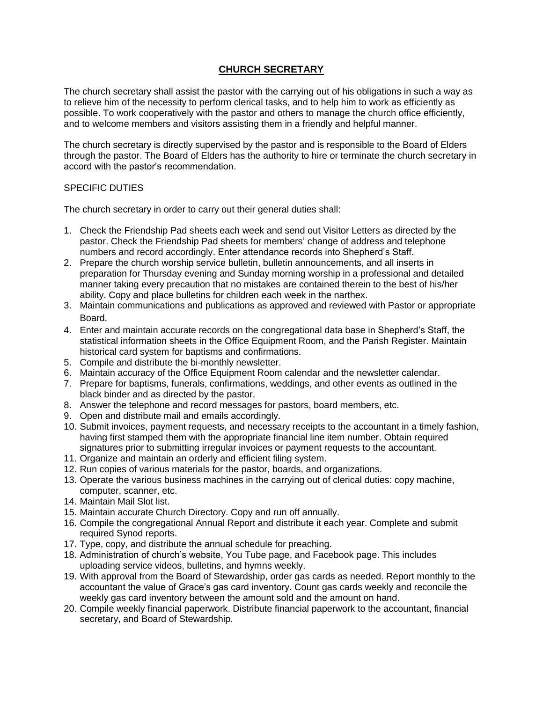## **CHURCH SECRETARY**

The church secretary shall assist the pastor with the carrying out of his obligations in such a way as to relieve him of the necessity to perform clerical tasks, and to help him to work as efficiently as possible. To work cooperatively with the pastor and others to manage the church office efficiently, and to welcome members and visitors assisting them in a friendly and helpful manner.

The church secretary is directly supervised by the pastor and is responsible to the Board of Elders through the pastor. The Board of Elders has the authority to hire or terminate the church secretary in accord with the pastor's recommendation.

## SPECIFIC DUTIES

The church secretary in order to carry out their general duties shall:

- 1. Check the Friendship Pad sheets each week and send out Visitor Letters as directed by the pastor. Check the Friendship Pad sheets for members' change of address and telephone numbers and record accordingly. Enter attendance records into Shepherd's Staff.
- 2. Prepare the church worship service bulletin, bulletin announcements, and all inserts in preparation for Thursday evening and Sunday morning worship in a professional and detailed manner taking every precaution that no mistakes are contained therein to the best of his/her ability. Copy and place bulletins for children each week in the narthex.
- 3. Maintain communications and publications as approved and reviewed with Pastor or appropriate Board.
- 4. Enter and maintain accurate records on the congregational data base in Shepherd's Staff, the statistical information sheets in the Office Equipment Room, and the Parish Register. Maintain historical card system for baptisms and confirmations.
- 5. Compile and distribute the bi-monthly newsletter.
- 6. Maintain accuracy of the Office Equipment Room calendar and the newsletter calendar.
- 7. Prepare for baptisms, funerals, confirmations, weddings, and other events as outlined in the black binder and as directed by the pastor.
- 8. Answer the telephone and record messages for pastors, board members, etc.
- 9. Open and distribute mail and emails accordingly.
- 10. Submit invoices, payment requests, and necessary receipts to the accountant in a timely fashion, having first stamped them with the appropriate financial line item number. Obtain required signatures prior to submitting irregular invoices or payment requests to the accountant.
- 11. Organize and maintain an orderly and efficient filing system.
- 12. Run copies of various materials for the pastor, boards, and organizations.
- 13. Operate the various business machines in the carrying out of clerical duties: copy machine, computer, scanner, etc.
- 14. Maintain Mail Slot list.
- 15. Maintain accurate Church Directory. Copy and run off annually.
- 16. Compile the congregational Annual Report and distribute it each year. Complete and submit required Synod reports.
- 17. Type, copy, and distribute the annual schedule for preaching.
- 18. Administration of church's website, You Tube page, and Facebook page. This includes uploading service videos, bulletins, and hymns weekly.
- 19. With approval from the Board of Stewardship, order gas cards as needed. Report monthly to the accountant the value of Grace's gas card inventory. Count gas cards weekly and reconcile the weekly gas card inventory between the amount sold and the amount on hand.
- 20. Compile weekly financial paperwork. Distribute financial paperwork to the accountant, financial secretary, and Board of Stewardship.